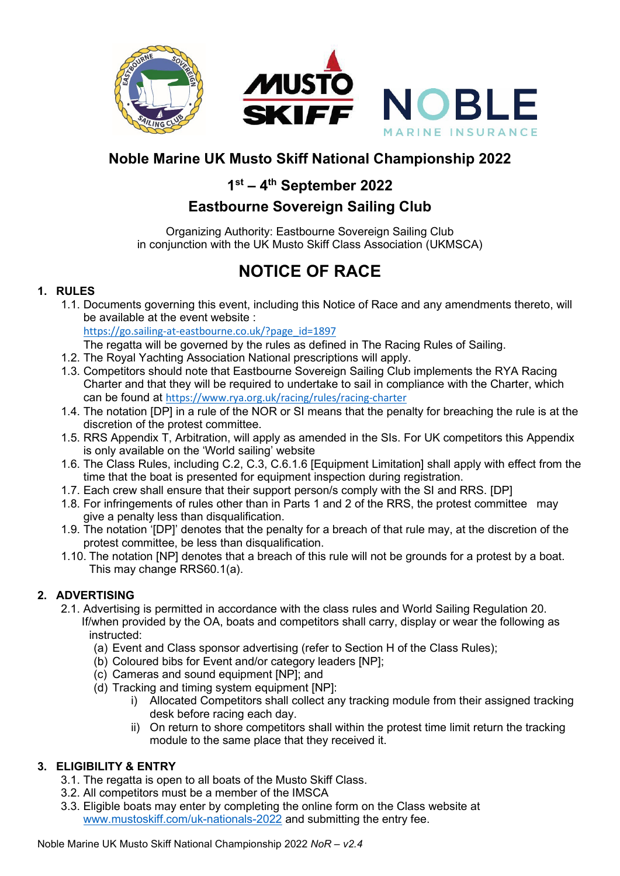

## **Noble Marine UK Musto Skiff National Championship 2022**

## **1st – 4th September 2022**

## **Eastbourne Sovereign Sailing Club**

Organizing Authority: Eastbourne Sovereign Sailing Club in conjunction with the UK Musto Skiff Class Association (UKMSCA)

# **NOTICE OF RACE**

## **1. RULES**

- 1.1. Documents governing this event, including this Notice of Race and any amendments thereto, will be available at the event website : [https://go.sailing-at-eastbourne.co.uk/?page\\_id=1897](https://go.sailing-at-eastbourne.co.uk/?page_id=1897)
	- The regatta will be governed by the rules as defined in The Racing Rules of Sailing.
- 1.2. The Royal Yachting Association National prescriptions will apply.
- 1.3. Competitors should note that Eastbourne Sovereign Sailing Club implements the RYA Racing Charter and that they will be required to undertake to sail in compliance with the Charter, which can be found at <https://www.rya.org.uk/racing/rules/racing-charter>
- 1.4. The notation [DP] in a rule of the NOR or SI means that the penalty for breaching the rule is at the discretion of the protest committee.
- 1.5. RRS Appendix T, Arbitration, will apply as amended in the SIs. For UK competitors this Appendix is only available on the 'World sailing' website
- 1.6. The Class Rules, including C.2, C.3, C.6.1.6 [Equipment Limitation] shall apply with effect from the time that the boat is presented for equipment inspection during registration.
- 1.7. Each crew shall ensure that their support person/s comply with the SI and RRS. [DP]
- 1.8. For infringements of rules other than in Parts 1 and 2 of the RRS, the protest committee may give a penalty less than disqualification.
- 1.9. The notation '[DP]' denotes that the penalty for a breach of that rule may, at the discretion of the protest committee, be less than disqualification.
- 1.10. The notation [NP] denotes that a breach of this rule will not be grounds for a protest by a boat. This may change RRS60.1(a).

## **2. ADVERTISING**

- 2.1. Advertising is permitted in accordance with the class rules and World Sailing Regulation 20. If/when provided by the OA, boats and competitors shall carry, display or wear the following as instructed:
	- (a) Event and Class sponsor advertising (refer to Section H of the Class Rules);
	- (b) Coloured bibs for Event and/or category leaders [NP];
	- (c) Cameras and sound equipment [NP]; and
	- (d) Tracking and timing system equipment [NP]:
		- i) Allocated Competitors shall collect any tracking module from their assigned tracking desk before racing each day.
		- ii) On return to shore competitors shall within the protest time limit return the tracking module to the same place that they received it.

## **3. ELIGIBILITY & ENTRY**

- 3.1. The regatta is open to all boats of the Musto Skiff Class.
- 3.2. All competitors must be a member of the IMSCA
- 3.3. Eligible boats may enter by completing the online form on the Class website at [www.mustoskiff.com/uk-nationals-2022](http://www.mustoskiff.com/uk-nationals-2022) and submitting the entry fee.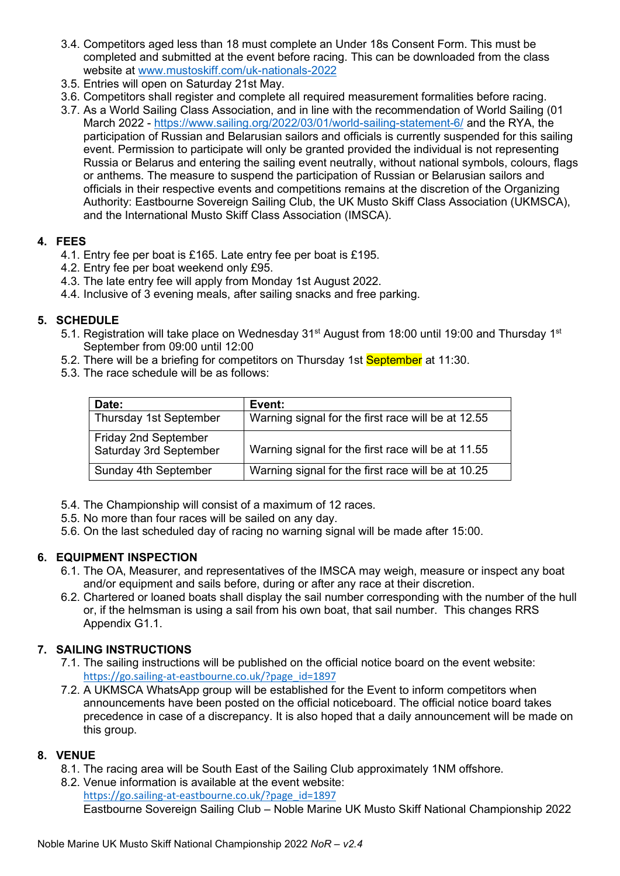- 3.4. Competitors aged less than 18 must complete an Under 18s Consent Form. This must be completed and submitted at the event before racing. This can be downloaded from the class website at [www.mustoskiff.com/uk-nationals-2022](http://www.mustoskiff.com/uk-nationals-2022)
- 3.5. Entries will open on Saturday 21st May.
- 3.6. Competitors shall register and complete all required measurement formalities before racing.
- 3.7. As a World Sailing Class Association, and in line with the recommendation of World Sailing (01 March 2022 -<https://www.sailing.org/2022/03/01/world-sailing-statement-6/> and the RYA, the participation of Russian and Belarusian sailors and officials is currently suspended for this sailing event. Permission to participate will only be granted provided the individual is not representing Russia or Belarus and entering the sailing event neutrally, without national symbols, colours, flags or anthems. The measure to suspend the participation of Russian or Belarusian sailors and officials in their respective events and competitions remains at the discretion of the Organizing Authority: Eastbourne Sovereign Sailing Club, the UK Musto Skiff Class Association (UKMSCA), and the International Musto Skiff Class Association (IMSCA).

#### **4. FEES**

- 4.1. Entry fee per boat is £165. Late entry fee per boat is £195.
- 4.2. Entry fee per boat weekend only £95.
- 4.3. The late entry fee will apply from Monday 1st August 2022.
- 4.4. Inclusive of 3 evening meals, after sailing snacks and free parking.

## **5. SCHEDULE**

- 5.1. Registration will take place on Wednesday 31<sup>st</sup> August from 18:00 until 19:00 and Thursday 1<sup>st</sup> September from 09:00 until 12:00
- 5.2. There will be a briefing for competitors on Thursday 1st September at 11:30.
- 5.3. The race schedule will be as follows:

| Date:                                                 | Event:                                             |
|-------------------------------------------------------|----------------------------------------------------|
| Thursday 1st September                                | Warning signal for the first race will be at 12.55 |
| <b>Friday 2nd September</b><br>Saturday 3rd September | Warning signal for the first race will be at 11.55 |
| Sunday 4th September                                  | Warning signal for the first race will be at 10.25 |

- 5.4. The Championship will consist of a maximum of 12 races.
- 5.5. No more than four races will be sailed on any day.
- 5.6. On the last scheduled day of racing no warning signal will be made after 15:00.

## **6. EQUIPMENT INSPECTION**

- 6.1. The OA, Measurer, and representatives of the IMSCA may weigh, measure or inspect any boat and/or equipment and sails before, during or after any race at their discretion.
- 6.2. Chartered or loaned boats shall display the sail number corresponding with the number of the hull or, if the helmsman is using a sail from his own boat, that sail number. This changes RRS Appendix G1.1.

## **7. SAILING INSTRUCTIONS**

- 7.1. The sailing instructions will be published on the official notice board on the event website: [https://go.sailing-at-eastbourne.co.uk/?page\\_id=1897](https://go.sailing-at-eastbourne.co.uk/?page_id=1897)
- 7.2. A UKMSCA WhatsApp group will be established for the Event to inform competitors when announcements have been posted on the official noticeboard. The official notice board takes precedence in case of a discrepancy. It is also hoped that a daily announcement will be made on this group.

## **8. VENUE**

- 8.1. The racing area will be South East of the Sailing Club approximately 1NM offshore.
- 8.2. Venue information is available at the event website: [https://go.sailing-at-eastbourne.co.uk/?page\\_id=1897](https://go.sailing-at-eastbourne.co.uk/?page_id=1897)

Eastbourne Sovereign Sailing Club – Noble Marine UK Musto Skiff National Championship 2022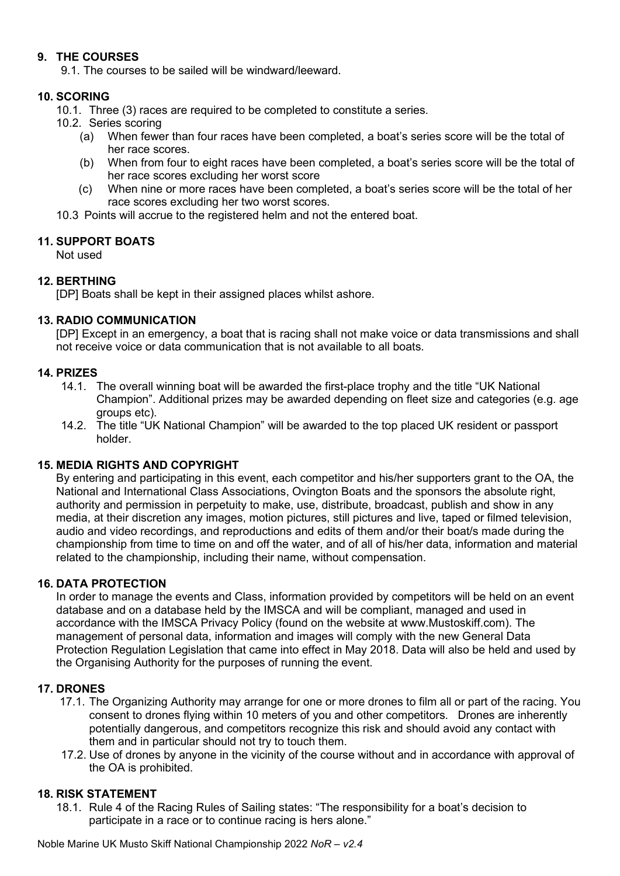### **9. THE COURSES**

9.1. The courses to be sailed will be windward/leeward.

#### **10. SCORING**

10.1. Three (3) races are required to be completed to constitute a series.

- 10.2. Series scoring
	- (a) When fewer than four races have been completed, a boat's series score will be the total of her race scores.
	- (b) When from four to eight races have been completed, a boat's series score will be the total of her race scores excluding her worst score
	- (c) When nine or more races have been completed, a boat's series score will be the total of her race scores excluding her two worst scores.
- 10.3 Points will accrue to the registered helm and not the entered boat.

#### **11. SUPPORT BOATS**

Not used

#### **12. BERTHING**

[DP] Boats shall be kept in their assigned places whilst ashore.

#### **13. RADIO COMMUNICATION**

[DP] Except in an emergency, a boat that is racing shall not make voice or data transmissions and shall not receive voice or data communication that is not available to all boats.

#### **14. PRIZES**

- 14.1. The overall winning boat will be awarded the first-place trophy and the title "UK National Champion". Additional prizes may be awarded depending on fleet size and categories (e.g. age groups etc).
- 14.2. The title "UK National Champion" will be awarded to the top placed UK resident or passport holder.

#### **15. MEDIA RIGHTS AND COPYRIGHT**

By entering and participating in this event, each competitor and his/her supporters grant to the OA, the National and International Class Associations, Ovington Boats and the sponsors the absolute right, authority and permission in perpetuity to make, use, distribute, broadcast, publish and show in any media, at their discretion any images, motion pictures, still pictures and live, taped or filmed television, audio and video recordings, and reproductions and edits of them and/or their boat/s made during the championship from time to time on and off the water, and of all of his/her data, information and material related to the championship, including their name, without compensation.

#### **16. DATA PROTECTION**

In order to manage the events and Class, information provided by competitors will be held on an event database and on a database held by the IMSCA and will be compliant, managed and used in accordance with the IMSCA Privacy Policy (found on the website at www.Mustoskiff.com). The management of personal data, information and images will comply with the new General Data Protection Regulation Legislation that came into effect in May 2018. Data will also be held and used by the Organising Authority for the purposes of running the event.

#### **17. DRONES**

- 17.1. The Organizing Authority may arrange for one or more drones to film all or part of the racing. You consent to drones flying within 10 meters of you and other competitors. Drones are inherently potentially dangerous, and competitors recognize this risk and should avoid any contact with them and in particular should not try to touch them.
- 17.2. Use of drones by anyone in the vicinity of the course without and in accordance with approval of the OA is prohibited.

#### **18. RISK STATEMENT**

18.1. Rule 4 of the Racing Rules of Sailing states: "The responsibility for a boat's decision to participate in a race or to continue racing is hers alone."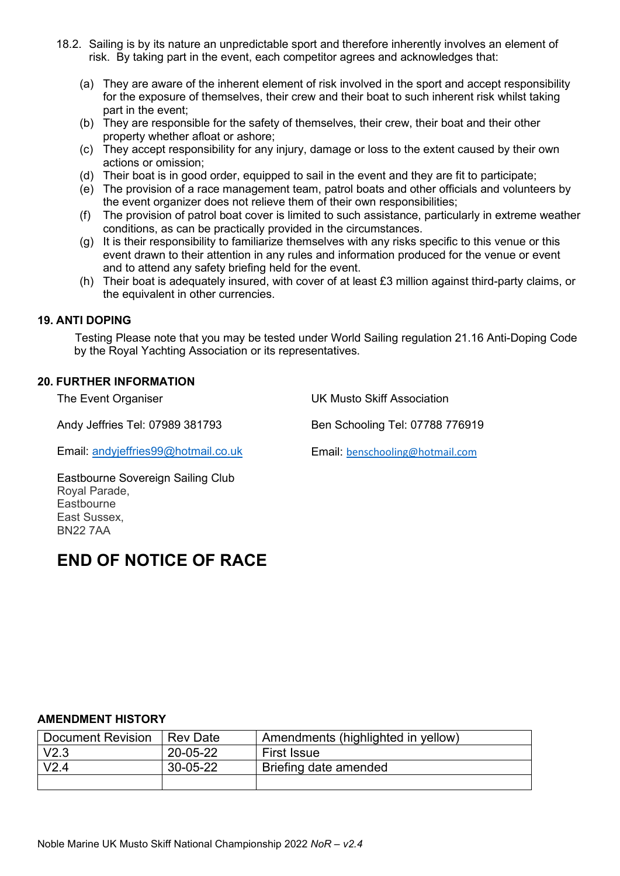- 18.2. Sailing is by its nature an unpredictable sport and therefore inherently involves an element of risk. By taking part in the event, each competitor agrees and acknowledges that:
	- (a) They are aware of the inherent element of risk involved in the sport and accept responsibility for the exposure of themselves, their crew and their boat to such inherent risk whilst taking part in the event;
	- (b) They are responsible for the safety of themselves, their crew, their boat and their other property whether afloat or ashore;
	- (c) They accept responsibility for any injury, damage or loss to the extent caused by their own actions or omission;
	- (d) Their boat is in good order, equipped to sail in the event and they are fit to participate;
	- (e) The provision of a race management team, patrol boats and other officials and volunteers by the event organizer does not relieve them of their own responsibilities;
	- (f) The provision of patrol boat cover is limited to such assistance, particularly in extreme weather conditions, as can be practically provided in the circumstances.
	- (g) It is their responsibility to familiarize themselves with any risks specific to this venue or this event drawn to their attention in any rules and information produced for the venue or event and to attend any safety briefing held for the event.
	- (h) Their boat is adequately insured, with cover of at least £3 million against third-party claims, or the equivalent in other currencies.

#### **19. ANTI DOPING**

Testing Please note that you may be tested under World Sailing regulation 21.16 Anti-Doping Code by the Royal Yachting Association or its representatives.

#### **20. FURTHER INFORMATION**

The Event Organiser

Andy Jeffries Tel: 07989 381793

UK Musto Skiff Association

Email: [andyjeffries99@hotmail.co.uk](mailto:andyjeffries99@hotmail.co.uk)

Email: [benschooling@hotmail.com](mailto:benschooling@hotmail.com) 

Ben Schooling Tel: 07788 776919

Eastbourne Sovereign Sailing Club Royal Parade, **Eastbourne** East Sussex, BN22 7AA

## **END OF NOTICE OF RACE**

#### **AMENDMENT HISTORY**

| <b>Document Revision</b> | l Rev Date | Amendments (highlighted in yellow) |
|--------------------------|------------|------------------------------------|
| V <sub>2.3</sub>         | 20-05-22   | <b>First Issue</b>                 |
| V <sub>2.4</sub>         | 30-05-22   | Briefing date amended              |
|                          |            |                                    |